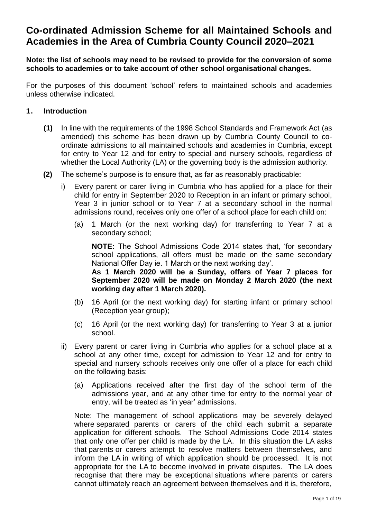# **Co-ordinated Admission Scheme for all Maintained Schools and Academies in the Area of Cumbria County Council 2020–2021**

**Note: the list of schools may need to be revised to provide for the conversion of some schools to academies or to take account of other school organisational changes.**

For the purposes of this document 'school' refers to maintained schools and academies unless otherwise indicated.

# **1. Introduction**

- **(1)** In line with the requirements of the 1998 School Standards and Framework Act (as amended) this scheme has been drawn up by Cumbria County Council to coordinate admissions to all maintained schools and academies in Cumbria, except for entry to Year 12 and for entry to special and nursery schools, regardless of whether the Local Authority (LA) or the governing body is the admission authority.
- **(2)** The scheme's purpose is to ensure that, as far as reasonably practicable:
	- i) Every parent or carer living in Cumbria who has applied for a place for their child for entry in September 2020 to Reception in an infant or primary school, Year 3 in junior school or to Year 7 at a secondary school in the normal admissions round, receives only one offer of a school place for each child on:
		- (a) 1 March (or the next working day) for transferring to Year 7 at a secondary school;

**NOTE:** The School Admissions Code 2014 states that, 'for secondary school applications, all offers must be made on the same secondary National Offer Day ie. 1 March or the next working day'.

**As 1 March 2020 will be a Sunday, offers of Year 7 places for September 2020 will be made on Monday 2 March 2020 (the next working day after 1 March 2020).**

- (b) 16 April (or the next working day) for starting infant or primary school (Reception year group);
- (c) 16 April (or the next working day) for transferring to Year 3 at a junior school.
- ii) Every parent or carer living in Cumbria who applies for a school place at a school at any other time, except for admission to Year 12 and for entry to special and nursery schools receives only one offer of a place for each child on the following basis:
	- (a) Applications received after the first day of the school term of the admissions year, and at any other time for entry to the normal year of entry, will be treated as 'in year' admissions.

Note: The management of school applications may be severely delayed where separated parents or carers of the child each submit a separate application for different schools. The School Admissions Code 2014 states that only one offer per child is made by the LA. In this situation the LA asks that parents or carers attempt to resolve matters between themselves, and inform the LA in writing of which application should be processed. It is not appropriate for the LA to become involved in private disputes. The LA does recognise that there may be exceptional situations where parents or carers cannot ultimately reach an agreement between themselves and it is, therefore,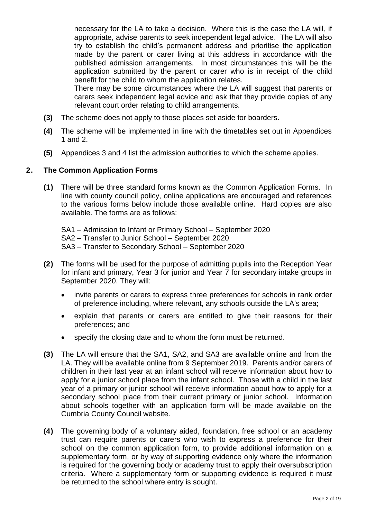necessary for the LA to take a decision. Where this is the case the LA will, if appropriate, advise parents to seek independent legal advice. The LA will also try to establish the child's permanent address and prioritise the application made by the parent or carer living at this address in accordance with the published admission arrangements. In most circumstances this will be the application submitted by the parent or carer who is in receipt of the child benefit for the child to whom the application relates.

There may be some circumstances where the LA will suggest that parents or carers seek independent legal advice and ask that they provide copies of any relevant court order relating to child arrangements.

- **(3)** The scheme does not apply to those places set aside for boarders.
- **(4)** The scheme will be implemented in line with the timetables set out in Appendices 1 and 2.
- **(5)** Appendices 3 and 4 list the admission authorities to which the scheme applies.

# **2. The Common Application Forms**

**(1)** There will be three standard forms known as the Common Application Forms. In line with county council policy, online applications are encouraged and references to the various forms below include those available online. Hard copies are also available. The forms are as follows:

SA1 – Admission to Infant or Primary School – September 2020 SA2 – Transfer to Junior School – September 2020 SA3 – Transfer to Secondary School – September 2020

- **(2)** The forms will be used for the purpose of admitting pupils into the Reception Year for infant and primary, Year 3 for junior and Year 7 for secondary intake groups in September 2020. They will:
	- invite parents or carers to express three preferences for schools in rank order of preference including, where relevant, any schools outside the LA's area;
	- explain that parents or carers are entitled to give their reasons for their preferences; and
	- specify the closing date and to whom the form must be returned.
- **(3)** The LA will ensure that the SA1, SA2, and SA3 are available online and from the LA. They will be available online from 9 September 2019. Parents and/or carers of children in their last year at an infant school will receive information about how to apply for a junior school place from the infant school. Those with a child in the last year of a primary or junior school will receive information about how to apply for a secondary school place from their current primary or junior school. Information about schools together with an application form will be made available on the Cumbria County Council website.
- **(4)** The governing body of a voluntary aided, foundation, free school or an academy trust can require parents or carers who wish to express a preference for their school on the common application form, to provide additional information on a supplementary form, or by way of supporting evidence only where the information is required for the governing body or academy trust to apply their oversubscription criteria. Where a supplementary form or supporting evidence is required it must be returned to the school where entry is sought.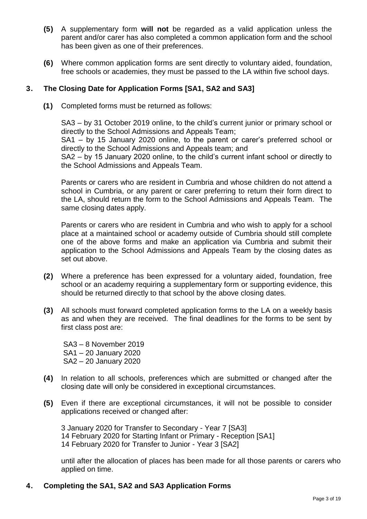- **(5)** A supplementary form **will not** be regarded as a valid application unless the parent and/or carer has also completed a common application form and the school has been given as one of their preferences.
- **(6)** Where common application forms are sent directly to voluntary aided, foundation, free schools or academies, they must be passed to the LA within five school days.

# **3. The Closing Date for Application Forms [SA1, SA2 and SA3]**

**(1)** Completed forms must be returned as follows:

SA3 – by 31 October 2019 online, to the child's current junior or primary school or directly to the School Admissions and Appeals Team;

SA1 – by 15 January 2020 online, to the parent or carer's preferred school or directly to the School Admissions and Appeals team; and

SA2 – by 15 January 2020 online, to the child's current infant school or directly to the School Admissions and Appeals Team.

Parents or carers who are resident in Cumbria and whose children do not attend a school in Cumbria, or any parent or carer preferring to return their form direct to the LA, should return the form to the School Admissions and Appeals Team. The same closing dates apply.

Parents or carers who are resident in Cumbria and who wish to apply for a school place at a maintained school or academy outside of Cumbria should still complete one of the above forms and make an application via Cumbria and submit their application to the School Admissions and Appeals Team by the closing dates as set out above.

- **(2)** Where a preference has been expressed for a voluntary aided, foundation, free school or an academy requiring a supplementary form or supporting evidence, this should be returned directly to that school by the above closing dates.
- **(3)** All schools must forward completed application forms to the LA on a weekly basis as and when they are received. The final deadlines for the forms to be sent by first class post are:

SA3 – 8 November 2019 SA1 – 20 January 2020 SA2 – 20 January 2020

- **(4)** In relation to all schools, preferences which are submitted or changed after the closing date will only be considered in exceptional circumstances.
- **(5)** Even if there are exceptional circumstances, it will not be possible to consider applications received or changed after:

3 January 2020 for Transfer to Secondary - Year 7 [SA3] 14 February 2020 for Starting Infant or Primary - Reception [SA1] 14 February 2020 for Transfer to Junior - Year 3 [SA2]

until after the allocation of places has been made for all those parents or carers who applied on time.

# **4. Completing the SA1, SA2 and SA3 Application Forms**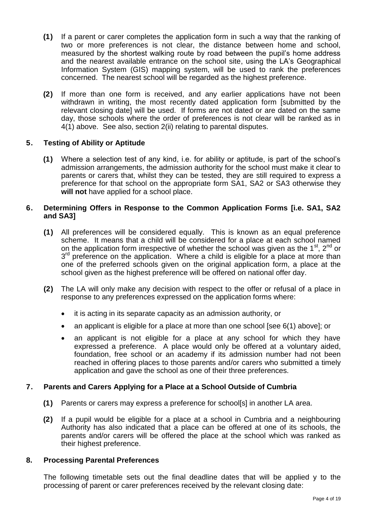- **(1)** If a parent or carer completes the application form in such a way that the ranking of two or more preferences is not clear, the distance between home and school, measured by the shortest walking route by road between the pupil's home address and the nearest available entrance on the school site, using the LA's Geographical Information System (GIS) mapping system, will be used to rank the preferences concerned. The nearest school will be regarded as the highest preference.
- **(2)** If more than one form is received, and any earlier applications have not been withdrawn in writing, the most recently dated application form [submitted by the relevant closing date] will be used. If forms are not dated or are dated on the same day, those schools where the order of preferences is not clear will be ranked as in 4(1) above. See also, section 2(ii) relating to parental disputes.

# **5. Testing of Ability or Aptitude**

**(1)** Where a selection test of any kind, i.e. for ability or aptitude, is part of the school's admission arrangements, the admission authority for the school must make it clear to parents or carers that, whilst they can be tested, they are still required to express a preference for that school on the appropriate form SA1, SA2 or SA3 otherwise they **will not** have applied for a school place.

#### **6. Determining Offers in Response to the Common Application Forms [i.e. SA1, SA2 and SA3]**

- **(1)** All preferences will be considered equally. This is known as an equal preference scheme. It means that a child will be considered for a place at each school named on the application form irrespective of whether the school was given as the 1<sup>st</sup>, 2<sup>nd</sup> or 3<sup>rd</sup> preference on the application. Where a child is eligible for a place at more than one of the preferred schools given on the original application form, a place at the school given as the highest preference will be offered on national offer day.
- **(2)** The LA will only make any decision with respect to the offer or refusal of a place in response to any preferences expressed on the application forms where:
	- it is acting in its separate capacity as an admission authority, or
	- an applicant is eligible for a place at more than one school [see 6(1) above]; or
	- an applicant is not eligible for a place at any school for which they have expressed a preference. A place would only be offered at a voluntary aided, foundation, free school or an academy if its admission number had not been reached in offering places to those parents and/or carers who submitted a timely application and gave the school as one of their three preferences.

# **7. Parents and Carers Applying for a Place at a School Outside of Cumbria**

- **(1)** Parents or carers may express a preference for school[s] in another LA area.
- **(2)** If a pupil would be eligible for a place at a school in Cumbria and a neighbouring Authority has also indicated that a place can be offered at one of its schools, the parents and/or carers will be offered the place at the school which was ranked as their highest preference.

# **8. Processing Parental Preferences**

The following timetable sets out the final deadline dates that will be applied y to the processing of parent or carer preferences received by the relevant closing date: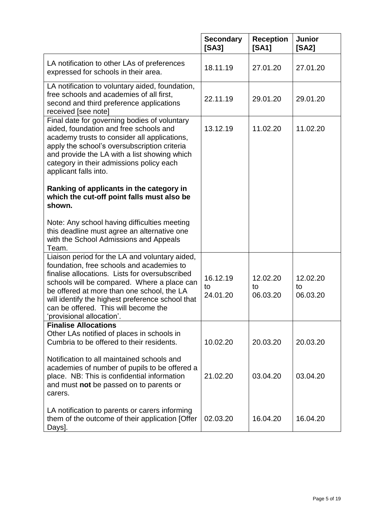|                                                                                                                                                                                                                                                                                                                                                                     | <b>Secondary</b><br>[SA3]  | <b>Reception</b><br>[SA1]  | Junior<br>[SA2]            |
|---------------------------------------------------------------------------------------------------------------------------------------------------------------------------------------------------------------------------------------------------------------------------------------------------------------------------------------------------------------------|----------------------------|----------------------------|----------------------------|
| LA notification to other LAs of preferences<br>expressed for schools in their area.                                                                                                                                                                                                                                                                                 | 18.11.19                   | 27.01.20                   | 27.01.20                   |
| LA notification to voluntary aided, foundation,<br>free schools and academies of all first,<br>second and third preference applications<br>received [see note]                                                                                                                                                                                                      | 22.11.19                   | 29.01.20                   | 29.01.20                   |
| Final date for governing bodies of voluntary<br>aided, foundation and free schools and<br>academy trusts to consider all applications,<br>apply the school's oversubscription criteria<br>and provide the LA with a list showing which<br>category in their admissions policy each<br>applicant falls into.                                                         | 13.12.19                   | 11.02.20                   | 11.02.20                   |
| Ranking of applicants in the category in<br>which the cut-off point falls must also be<br>shown.                                                                                                                                                                                                                                                                    |                            |                            |                            |
| Note: Any school having difficulties meeting<br>this deadline must agree an alternative one<br>with the School Admissions and Appeals<br>Team.                                                                                                                                                                                                                      |                            |                            |                            |
| Liaison period for the LA and voluntary aided,<br>foundation, free schools and academies to<br>finalise allocations. Lists for oversubscribed<br>schools will be compared. Where a place can<br>be offered at more than one school, the LA<br>will identify the highest preference school that<br>can be offered. This will become the<br>'provisional allocation'. | 16.12.19<br>to<br>24.01.20 | 12.02.20<br>to<br>06.03.20 | 12.02.20<br>to<br>06.03.20 |
| <b>Finalise Allocations</b><br>Other LAs notified of places in schools in<br>Cumbria to be offered to their residents.                                                                                                                                                                                                                                              | 10.02.20                   | 20.03.20                   | 20.03.20                   |
| Notification to all maintained schools and<br>academies of number of pupils to be offered a<br>place. NB: This is confidential information<br>and must not be passed on to parents or<br>carers.                                                                                                                                                                    | 21.02.20                   | 03.04.20                   | 03.04.20                   |
| LA notification to parents or carers informing<br>them of the outcome of their application [Offer<br>Days].                                                                                                                                                                                                                                                         | 02.03.20                   | 16.04.20                   | 16.04.20                   |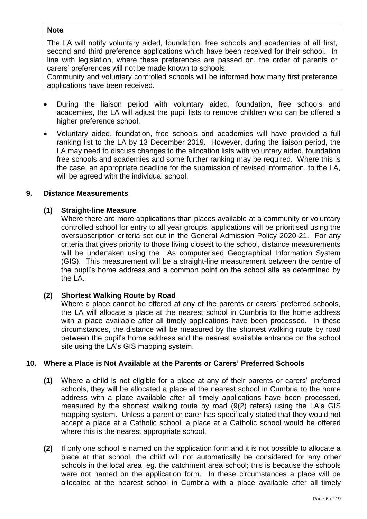# **Note**

The LA will notify voluntary aided, foundation, free schools and academies of all first, second and third preference applications which have been received for their school. In line with legislation, where these preferences are passed on, the order of parents or carers' preferences will not be made known to schools.

Community and voluntary controlled schools will be informed how many first preference applications have been received.

- During the liaison period with voluntary aided, foundation, free schools and academies, the LA will adjust the pupil lists to remove children who can be offered a higher preference school.
- Voluntary aided, foundation, free schools and academies will have provided a full ranking list to the LA by 13 December 2019. However, during the liaison period, the LA may need to discuss changes to the allocation lists with voluntary aided, foundation free schools and academies and some further ranking may be required. Where this is the case, an appropriate deadline for the submission of revised information, to the LA, will be agreed with the individual school.

#### **9. Distance Measurements**

#### **(1) Straight-line Measure**

Where there are more applications than places available at a community or voluntary controlled school for entry to all year groups, applications will be prioritised using the oversubscription criteria set out in the General Admission Policy 2020-21. For any criteria that gives priority to those living closest to the school, distance measurements will be undertaken using the LAs computerised Geographical Information System (GIS). This measurement will be a straight-line measurement between the centre of the pupil's home address and a common point on the school site as determined by the LA.

# **(2) Shortest Walking Route by Road**

Where a place cannot be offered at any of the parents or carers' preferred schools, the LA will allocate a place at the nearest school in Cumbria to the home address with a place available after all timely applications have been processed. In these circumstances, the distance will be measured by the shortest walking route by road between the pupil's home address and the nearest available entrance on the school site using the LA's GIS mapping system.

#### **10. Where a Place is Not Available at the Parents or Carers' Preferred Schools**

- **(1)** Where a child is not eligible for a place at any of their parents or carers' preferred schools, they will be allocated a place at the nearest school in Cumbria to the home address with a place available after all timely applications have been processed, measured by the shortest walking route by road (9(2) refers) using the LA's GIS mapping system. Unless a parent or carer has specifically stated that they would not accept a place at a Catholic school, a place at a Catholic school would be offered where this is the nearest appropriate school.
- **(2)** If only one school is named on the application form and it is not possible to allocate a place at that school, the child will not automatically be considered for any other schools in the local area, eg. the catchment area school; this is because the schools were not named on the application form. In these circumstances a place will be allocated at the nearest school in Cumbria with a place available after all timely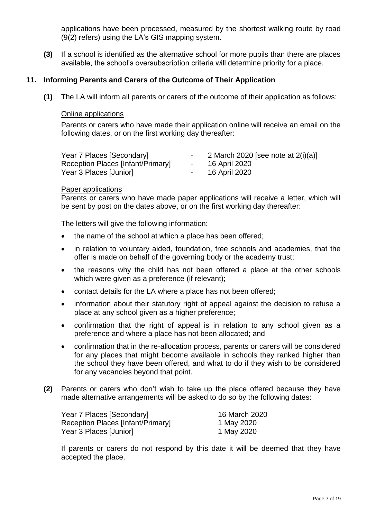applications have been processed, measured by the shortest walking route by road (9(2) refers) using the LA's GIS mapping system.

**(3)** If a school is identified as the alternative school for more pupils than there are places available, the school's oversubscription criteria will determine priority for a place.

#### **11. Informing Parents and Carers of the Outcome of Their Application**

**(1)** The LA will inform all parents or carers of the outcome of their application as follows:

#### Online applications

Parents or carers who have made their application online will receive an email on the following dates, or on the first working day thereafter:

| Year 7 Places [Secondary]         |        | 2 March 2020 [see note at $2(i)(a)$ ] |
|-----------------------------------|--------|---------------------------------------|
| Reception Places [Infant/Primary] | $\sim$ | 16 April 2020                         |
| Year 3 Places [Junior]            |        | 16 April 2020                         |

#### Paper applications

Parents or carers who have made paper applications will receive a letter, which will be sent by post on the dates above, or on the first working day thereafter:

The letters will give the following information:

- the name of the school at which a place has been offered;
- in relation to voluntary aided, foundation, free schools and academies, that the offer is made on behalf of the governing body or the academy trust;
- the reasons why the child has not been offered a place at the other schools which were given as a preference (if relevant);
- contact details for the LA where a place has not been offered;
- information about their statutory right of appeal against the decision to refuse a place at any school given as a higher preference;
- confirmation that the right of appeal is in relation to any school given as a preference and where a place has not been allocated; and
- confirmation that in the re-allocation process, parents or carers will be considered for any places that might become available in schools they ranked higher than the school they have been offered, and what to do if they wish to be considered for any vacancies beyond that point.
- **(2)** Parents or carers who don't wish to take up the place offered because they have made alternative arrangements will be asked to do so by the following dates:

| Year 7 Places [Secondary]         | 16 March 2020 |
|-----------------------------------|---------------|
| Reception Places [Infant/Primary] | 1 May 2020    |
| Year 3 Places [Junior]            | 1 May 2020    |

If parents or carers do not respond by this date it will be deemed that they have accepted the place.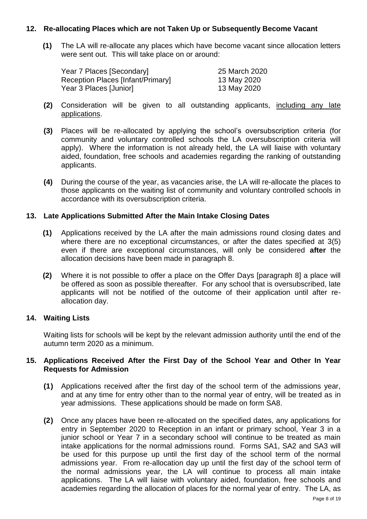# **12. Re-allocating Places which are not Taken Up or Subsequently Become Vacant**

**(1)** The LA will re-allocate any places which have become vacant since allocation letters were sent out. This will take place on or around:

| Year 7 Places [Secondary]         | 25 March 2020 |
|-----------------------------------|---------------|
| Reception Places [Infant/Primary] | 13 May 2020   |
| Year 3 Places [Junior]            | 13 May 2020   |

- **(2)** Consideration will be given to all outstanding applicants, including any late applications.
- **(3)** Places will be re-allocated by applying the school's oversubscription criteria (for community and voluntary controlled schools the LA oversubscription criteria will apply). Where the information is not already held, the LA will liaise with voluntary aided, foundation, free schools and academies regarding the ranking of outstanding applicants.
- **(4)** During the course of the year, as vacancies arise, the LA will re-allocate the places to those applicants on the waiting list of community and voluntary controlled schools in accordance with its oversubscription criteria.

#### **13. Late Applications Submitted After the Main Intake Closing Dates**

- **(1)** Applications received by the LA after the main admissions round closing dates and where there are no exceptional circumstances, or after the dates specified at 3(5) even if there are exceptional circumstances, will only be considered **after** the allocation decisions have been made in paragraph 8.
- **(2)** Where it is not possible to offer a place on the Offer Days [paragraph 8] a place will be offered as soon as possible thereafter. For any school that is oversubscribed, late applicants will not be notified of the outcome of their application until after reallocation day.

# **14. Waiting Lists**

Waiting lists for schools will be kept by the relevant admission authority until the end of the autumn term 2020 as a minimum.

#### **15. Applications Received After the First Day of the School Year and Other In Year Requests for Admission**

- **(1)** Applications received after the first day of the school term of the admissions year, and at any time for entry other than to the normal year of entry, will be treated as in year admissions. These applications should be made on form SA8.
- **(2)** Once any places have been re-allocated on the specified dates, any applications for entry in September 2020 to Reception in an infant or primary school, Year 3 in a junior school or Year 7 in a secondary school will continue to be treated as main intake applications for the normal admissions round. Forms SA1, SA2 and SA3 will be used for this purpose up until the first day of the school term of the normal admissions year. From re-allocation day up until the first day of the school term of the normal admissions year, the LA will continue to process all main intake applications. The LA will liaise with voluntary aided, foundation, free schools and academies regarding the allocation of places for the normal year of entry. The LA, as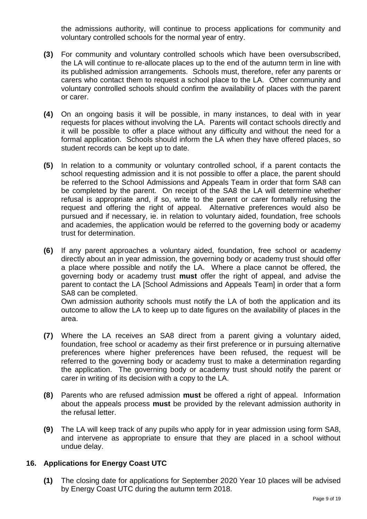the admissions authority, will continue to process applications for community and voluntary controlled schools for the normal year of entry.

- **(3)** For community and voluntary controlled schools which have been oversubscribed, the LA will continue to re-allocate places up to the end of the autumn term in line with its published admission arrangements. Schools must, therefore, refer any parents or carers who contact them to request a school place to the LA. Other community and voluntary controlled schools should confirm the availability of places with the parent or carer.
- **(4)** On an ongoing basis it will be possible, in many instances, to deal with in year requests for places without involving the LA. Parents will contact schools directly and it will be possible to offer a place without any difficulty and without the need for a formal application. Schools should inform the LA when they have offered places, so student records can be kept up to date.
- **(5)** In relation to a community or voluntary controlled school, if a parent contacts the school requesting admission and it is not possible to offer a place, the parent should be referred to the School Admissions and Appeals Team in order that form SA8 can be completed by the parent. On receipt of the SA8 the LA will determine whether refusal is appropriate and, if so, write to the parent or carer formally refusing the request and offering the right of appeal. Alternative preferences would also be pursued and if necessary, ie. in relation to voluntary aided, foundation, free schools and academies, the application would be referred to the governing body or academy trust for determination.
- **(6)** If any parent approaches a voluntary aided, foundation, free school or academy directly about an in year admission, the governing body or academy trust should offer a place where possible and notify the LA. Where a place cannot be offered, the governing body or academy trust **must** offer the right of appeal, and advise the parent to contact the LA [School Admissions and Appeals Team] in order that a form SA8 can be completed.

Own admission authority schools must notify the LA of both the application and its outcome to allow the LA to keep up to date figures on the availability of places in the area.

- **(7)** Where the LA receives an SA8 direct from a parent giving a voluntary aided, foundation, free school or academy as their first preference or in pursuing alternative preferences where higher preferences have been refused, the request will be referred to the governing body or academy trust to make a determination regarding the application. The governing body or academy trust should notify the parent or carer in writing of its decision with a copy to the LA.
- **(8)** Parents who are refused admission **must** be offered a right of appeal. Information about the appeals process **must** be provided by the relevant admission authority in the refusal letter.
- **(9)** The LA will keep track of any pupils who apply for in year admission using form SA8, and intervene as appropriate to ensure that they are placed in a school without undue delay.

# **16. Applications for Energy Coast UTC**

**(1)** The closing date for applications for September 2020 Year 10 places will be advised by Energy Coast UTC during the autumn term 2018.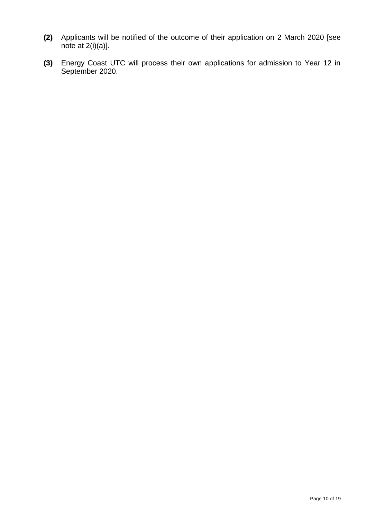- **(2)** Applicants will be notified of the outcome of their application on 2 March 2020 [see note at  $2(i)(a)$ ].
- **(3)** Energy Coast UTC will process their own applications for admission to Year 12 in September 2020.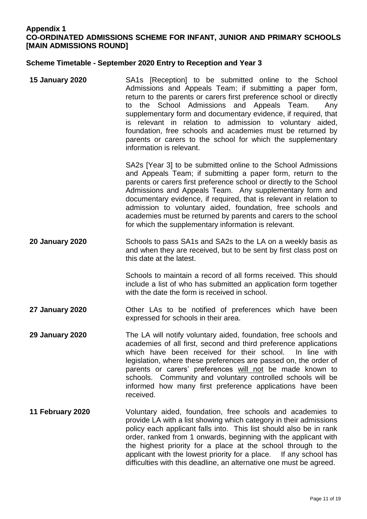# **Appendix 1 CO-ORDINATED ADMISSIONS SCHEME FOR INFANT, JUNIOR AND PRIMARY SCHOOLS [MAIN ADMISSIONS ROUND]**

#### **Scheme Timetable - September 2020 Entry to Reception and Year 3**

**15 January 2020** SA1s [Reception] to be submitted online to the School Admissions and Appeals Team; if submitting a paper form, return to the parents or carers first preference school or directly to the School Admissions and Appeals Team. Any supplementary form and documentary evidence, if required, that is relevant in relation to admission to voluntary aided, foundation, free schools and academies must be returned by parents or carers to the school for which the supplementary information is relevant.

> SA2s [Year 3] to be submitted online to the School Admissions and Appeals Team; if submitting a paper form, return to the parents or carers first preference school or directly to the School Admissions and Appeals Team. Any supplementary form and documentary evidence, if required, that is relevant in relation to admission to voluntary aided, foundation, free schools and academies must be returned by parents and carers to the school for which the supplementary information is relevant.

**20 January 2020** Schools to pass SA1s and SA2s to the LA on a weekly basis as and when they are received, but to be sent by first class post on this date at the latest.

> Schools to maintain a record of all forms received. This should include a list of who has submitted an application form together with the date the form is received in school.

**27 January 2020** Other LAs to be notified of preferences which have been expressed for schools in their area.

**29 January 2020** The LA will notify voluntary aided, foundation, free schools and academies of all first, second and third preference applications which have been received for their school. In line with legislation, where these preferences are passed on, the order of parents or carers' preferences will not be made known to schools. Community and voluntary controlled schools will be informed how many first preference applications have been received.

**11 February 2020** Voluntary aided, foundation, free schools and academies to provide LA with a list showing which category in their admissions policy each applicant falls into. This list should also be in rank order, ranked from 1 onwards, beginning with the applicant with the highest priority for a place at the school through to the applicant with the lowest priority for a place. If any school has difficulties with this deadline, an alternative one must be agreed.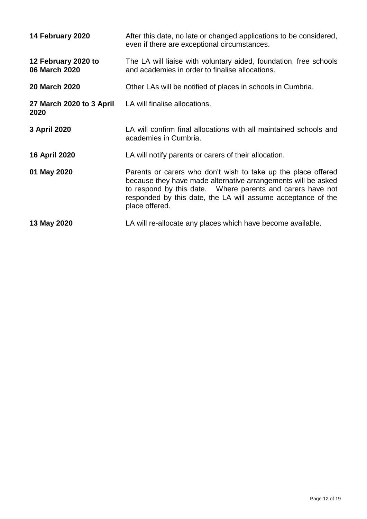| 14 February 2020                     | After this date, no late or changed applications to be considered,<br>even if there are exceptional circumstances.                                                                                                                                                              |
|--------------------------------------|---------------------------------------------------------------------------------------------------------------------------------------------------------------------------------------------------------------------------------------------------------------------------------|
| 12 February 2020 to<br>06 March 2020 | The LA will liaise with voluntary aided, foundation, free schools<br>and academies in order to finalise allocations.                                                                                                                                                            |
| <b>20 March 2020</b>                 | Other LAs will be notified of places in schools in Cumbria.                                                                                                                                                                                                                     |
| 27 March 2020 to 3 April<br>2020     | LA will finalise allocations.                                                                                                                                                                                                                                                   |
| 3 April 2020                         | LA will confirm final allocations with all maintained schools and<br>academies in Cumbria.                                                                                                                                                                                      |
| <b>16 April 2020</b>                 | LA will notify parents or carers of their allocation.                                                                                                                                                                                                                           |
| 01 May 2020                          | Parents or carers who don't wish to take up the place offered<br>because they have made alternative arrangements will be asked<br>to respond by this date.  Where parents and carers have not<br>responded by this date, the LA will assume acceptance of the<br>place offered. |
| 13 May 2020                          | LA will re-allocate any places which have become available.                                                                                                                                                                                                                     |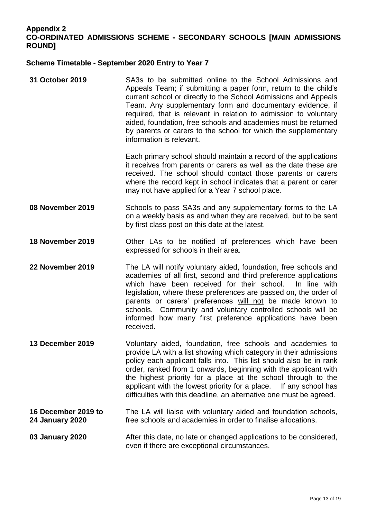# **Appendix 2**

# **CO-ORDINATED ADMISSIONS SCHEME - SECONDARY SCHOOLS [MAIN ADMISSIONS ROUND]**

#### **Scheme Timetable - September 2020 Entry to Year 7**

**31 October 2019** SA3s to be submitted online to the School Admissions and Appeals Team; if submitting a paper form, return to the child's current school or directly to the School Admissions and Appeals Team. Any supplementary form and documentary evidence, if required, that is relevant in relation to admission to voluntary aided, foundation, free schools and academies must be returned by parents or carers to the school for which the supplementary information is relevant.

Each primary school should maintain a record of the applications it receives from parents or carers as well as the date these are received. The school should contact those parents or carers where the record kept in school indicates that a parent or carer may not have applied for a Year 7 school place.

- **08 November 2019** Schools to pass SA3s and any supplementary forms to the LA on a weekly basis as and when they are received, but to be sent by first class post on this date at the latest.
- **18 November 2019** Other LAs to be notified of preferences which have been expressed for schools in their area.
- **22 November 2019** The LA will notify voluntary aided, foundation, free schools and academies of all first, second and third preference applications which have been received for their school. In line with legislation, where these preferences are passed on, the order of parents or carers' preferences will not be made known to schools. Community and voluntary controlled schools will be informed how many first preference applications have been received.
- **13 December 2019** Voluntary aided, foundation, free schools and academies to provide LA with a list showing which category in their admissions policy each applicant falls into. This list should also be in rank order, ranked from 1 onwards, beginning with the applicant with the highest priority for a place at the school through to the applicant with the lowest priority for a place. If any school has difficulties with this deadline, an alternative one must be agreed.
- **16 December 2019 to 24 January 2020** The LA will liaise with voluntary aided and foundation schools, free schools and academies in order to finalise allocations.

**03 January 2020** After this date, no late or changed applications to be considered, even if there are exceptional circumstances.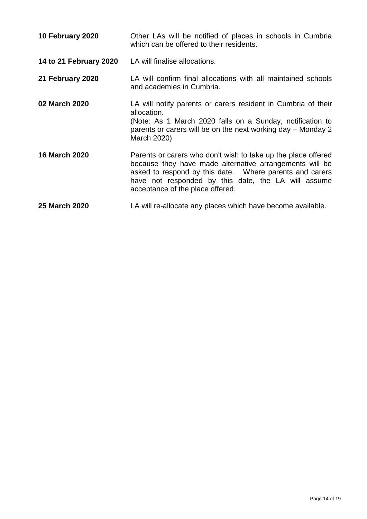| 10 February 2020       | Other LAs will be notified of places in schools in Cumbria<br>which can be offered to their residents.                                                                                                                                                                         |
|------------------------|--------------------------------------------------------------------------------------------------------------------------------------------------------------------------------------------------------------------------------------------------------------------------------|
| 14 to 21 February 2020 | LA will finalise allocations.                                                                                                                                                                                                                                                  |
| 21 February 2020       | LA will confirm final allocations with all maintained schools<br>and academies in Cumbria.                                                                                                                                                                                     |
| 02 March 2020          | LA will notify parents or carers resident in Cumbria of their<br>allocation.<br>(Note: As 1 March 2020 falls on a Sunday, notification to<br>parents or carers will be on the next working day – Monday 2<br>March 2020)                                                       |
| <b>16 March 2020</b>   | Parents or carers who don't wish to take up the place offered<br>because they have made alternative arrangements will be<br>asked to respond by this date. Where parents and carers<br>have not responded by this date, the LA will assume<br>acceptance of the place offered. |
| 25 March 2020          | LA will re-allocate any places which have become available.                                                                                                                                                                                                                    |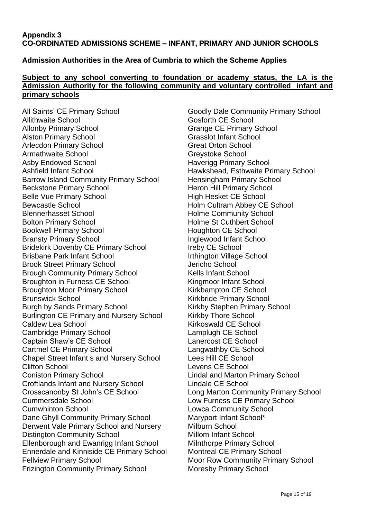# **Appendix 3 CO-ORDINATED ADMISSIONS SCHEME – INFANT, PRIMARY AND JUNIOR SCHOOLS**

# **Admission Authorities in the Area of Cumbria to which the Scheme Applies**

#### **Subject to any school converting to foundation or academy status, the LA is the Admission Authority for the following community and voluntary controlled infant and primary schools**

All Saints' CE Primary School Goodly Dale Community Primary School Allithwaite School **Gosforth CE** School Allonby Primary School Grange CE Primary School Alston Primary School Grasslot Infant School Arlecdon Primary School **Great Orton School** Armathwaite School **Greystoke School** Greystoke School Asby Endowed School **Haverigg Primary School** Ashfield Infant School Hawkshead, Esthwaite Primary School Barrow Island Community Primary School Hensingham Primary School Beckstone Primary School **Heron Hill Primary School** Belle Vue Primary School **High Hesket CE School** Bewcastle School **Holm Cultram Abbey CE School** Blennerhasset School Holme Community School Bolton Primary School **Holme St Cuthbert School** Bookwell Primary School **Houghton CE School** Bransty Primary School **Inglewood Infant School** Bridekirk Dovenby CE Primary School Ireby CE School Brisbane Park Infant School **Irthington Village School** Brook Street Primary School **Grates** Jericho School Brough Community Primary School Kells Infant School Broughton in Furness CE School Kingmoor Infant School Broughton Moor Primary School Kirkbampton CE School Brunswick School **Kirkbride Primary School** Burgh by Sands Primary School Kirkby Stephen Primary School Burlington CE Primary and Nursery School Kirkby Thore School Caldew Lea School **Caldew Lea School** Caldew Lea School **Kirkoswald CE School** Cambridge Primary School Lamplugh CE School Captain Shaw's CE School Lanercost CE School Cartmel CE Primary School Langwathby CE School Chapel Street Infant s and Nursery School Lees Hill CE School Clifton School Levens CE School Coniston Primary School Lindal and Marton Primary School Croftlands Infant and Nursery School Lindale CE School Crosscanonby St John's CE School Long Marton Community Primary School Cummersdale School Low Furness CE Primary School Cumwhinton School Lowca Community School Dane Ghyll Community Primary School Maryport Infant School\* Derwent Vale Primary School and Nursery Milburn School Distington Community School Millom Infant School Ellenborough and Ewanrigg Infant School Milnthorpe Primary School Ennerdale and Kinniside CE Primary School Montreal CE Primary School Fellview Primary School **Fellview Primary School** Moor Row Community Primary School Frizington Community Primary School Moresby Primary School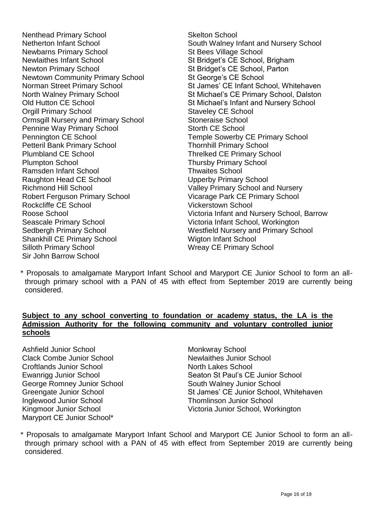Nenthead Primary School Skelton School Newbarns Primary School St Bees Village School St Bees Village School Newlaithes Infant School St Bridget's CE School, Brigham Newton Primary School St Bridget's CE School, Parton Newtown Community Primary School St George's CE School **Orgill Primary School Staveley CE School** Ormsgill Nursery and Primary School Stoneraise School Pennine Way Primary School Storth CE School Pennington CE School Temple Sowerby CE Primary School Petteril Bank Primary School **Thornhill Primary School** Plumbland CE School Threlked CE Primary School Plumpton School Thursby Primary School Ramsden Infant School **Thwaites** School Raughton Head CE School Upperby Primary School Richmond Hill School **Valley Primary School and Nursery** Robert Ferguson Primary School Vicarage Park CE Primary School Rockcliffe CE School Vickerstown School Seascale Primary School Victoria Infant School, Workington Shankhill CE Primary School Wigton Infant School Silloth Primary School Network CE Primary School Network CE Primary School Sir John Barrow School

Netherton Infant School South Walney Infant and Nursery School Norman Street Primary School Stames' CE Infant School, Whitehaven North Walney Primary School St Michael's CE Primary School, Dalston Old Hutton CE School St Michael's Infant and Nursery School Roose School Victoria Infant and Nursery School, Barrow Sedbergh Primary School Westfield Nursery and Primary School

\* Proposals to amalgamate Maryport Infant School and Maryport CE Junior School to form an allthrough primary school with a PAN of 45 with effect from September 2019 are currently being considered.

# **Subject to any school converting to foundation or academy status, the LA is the Admission Authority for the following community and voluntary controlled junior schools**

Ashfield Junior School Monkwray School Clack Combe Junior School Newlaithes Junior School Croftlands Junior School North Lakes School George Romney Junior School South Walney Junior School Inglewood Junior School Thomlinson Junior School Maryport CE Junior School\*

Ewanrigg Junior School Seaton St Paul's CE Junior School Greengate Junior School St James' CE Junior School, Whitehaven Kingmoor Junior School **Victoria Junior School, Workington** 

\* Proposals to amalgamate Maryport Infant School and Maryport CE Junior School to form an allthrough primary school with a PAN of 45 with effect from September 2019 are currently being considered.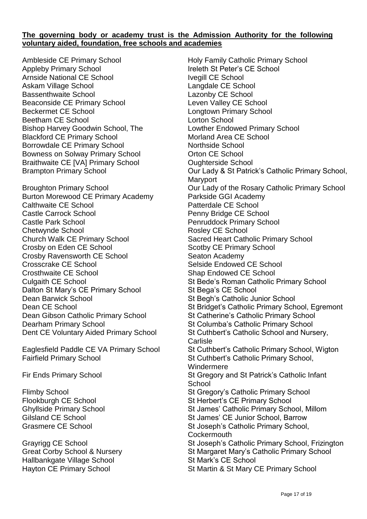#### **The governing body or academy trust is the Admission Authority for the following voluntary aided, foundation, free schools and academies**

Ambleside CE Primary School **Holy Family Catholic Primary School** Appleby Primary School **Ireleth St Peter's CE School** Arnside National CE School **Ivegill CE School** Askam Village School **Langdale CE** School Bassenthwaite School **Lazonby CE** School Beaconside CE Primary School Leven Valley CE School Beckermet CE School Longtown Primary School Beetham CE School **Lorton School** Bishop Harvey Goodwin School, The Lowther Endowed Primary School Blackford CE Primary School Morland Area CE School Borrowdale CE Primary School Northside School Bowness on Solway Primary School **CE School** Orton CE School Braithwaite CE [VA] Primary School **CEL COUGHT COUGHT COUGHT COUGHT COUGHT COUGHT COUGHT COUGHT COUGHT COUGHT COU** 

Burton Morewood CE Primary Academy Parkside GGI Academy Calthwaite CE School **Patterdale CE School** Patterdale CE School Castle Carrock School Penny Bridge CE School Castle Park School **Penruddock Primary School** Chetwynde School **Rosley CE** School **Rosley CE** School Church Walk CE Primary School Sacred Heart Catholic Primary School Crosby on Eden CE School Scotby CE Primary School Crosby Ravensworth CE School Seaton Academy Crosscrake CE School Selside Endowed CE School Crosthwaite CE School Shap Endowed CE School Dalton St Mary's CE Primary School St Bega's CE School Dean Barwick School St Begh's Catholic Junior School Dean Gibson Catholic Primary School St Catherine's Catholic Primary School Dearham Primary School St Columba's Catholic Primary School St Columba's Catholic Primary School

Fairfield Primary School St Cuthbert's Catholic Primary School,

Hallbankgate Village School St Mark's CE School

Brampton Primary School **Durell Cour Lady & St Patrick's Catholic Primary School**, **Maryport** Broughton Primary School Our Lady of the Rosary Catholic Primary School Culgaith CE School St Bede's Roman Catholic Primary School Dean CE School St Bridget's Catholic Primary School, Egremont Dent CE Voluntary Aided Primary School St Cuthbert's Catholic School and Nursery, **Carlisle** Eaglesfield Paddle CE VA Primary School St Cuthbert's Catholic Primary School, Wigton Windermere Fir Ends Primary School St Gregory and St Patrick's Catholic Infant **School** Flimby School St Gregory's Catholic Primary School Flookburgh CE School St Herbert's CE Primary School Ghyllside Primary School St James' Catholic Primary School, Millom Gilsland CE School St James' CE Junior School, Barrow Grasmere CE School St Joseph's Catholic Primary School, **Cockermouth** Grayrigg CE School St Joseph's Catholic Primary School, Frizington Great Corby School & Nursery Sthool St Margaret Mary's Catholic Primary School Hayton CE Primary School St Martin & St Mary CE Primary School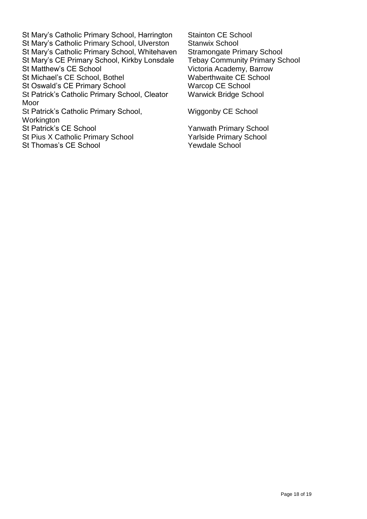St Mary's Catholic Primary School, Harrington Stainton CE School St Mary's Catholic Primary School, Ulverston Stanwix School St Mary's Catholic Primary School, Whitehaven Stramongate Primary School<br>St Mary's CE Primary School, Kirkby Lonsdale Tebay Community Primary School St Mary's CE Primary School, Kirkby Lonsdale St Matthew's CE School Victoria Academy, Barrow St Michael's CE School, Bothel Waberthwaite CE School<br>St Oswald's CE Primary School Warcop CE School St Oswald's CE Primary School St Patrick's Catholic Primary School, Cleator Moor St Patrick's Catholic Primary School, Workington<br>St Patrick's CE School St Pius X Catholic Primary School Yarlside Primary School

St Thomas's CE School Yewdale School

Warwick Bridge School

Wiggonby CE School

Yanwath Primary School